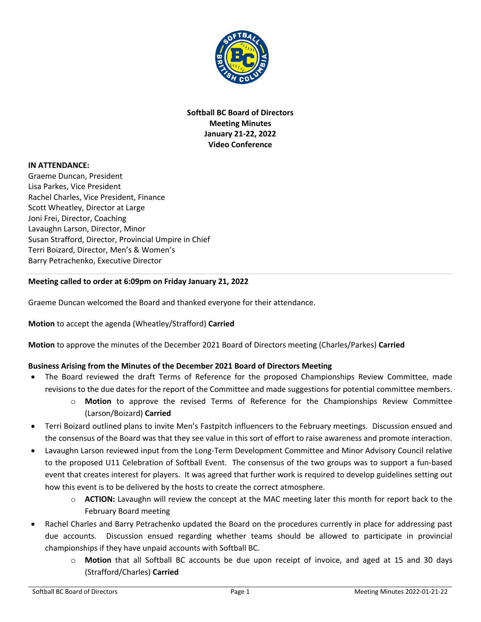

**Softball BC Board of Directors Meeting Minutes January 21-22, 2022 Video Conference** 

### **IN ATTENDANCE:**

Graeme Duncan, President Lisa Parkes, Vice President Rachel Charles, Vice President, Finance Scott Wheatley, Director at Large Joni Frei, Director, Coaching Lavaughn Larson, Director, Minor Susan Strafford, Director, Provincial Umpire in Chief Terri Boizard, Director, Men's & Women's Barry Petrachenko, Executive Director

## **Meeting called to order at 6:09pm on Friday January 21, 2022**

Graeme Duncan welcomed the Board and thanked everyone for their attendance.

**Motion** to accept the agenda (Wheatley/Strafford) **Carried**

**Motion** to approve the minutes of the December 2021 Board of Directors meeting (Charles/Parkes) **Carried**

## **Business Arising from the Minutes of the December 2021 Board of Directors Meeting**

- The Board reviewed the draft Terms of Reference for the proposed Championships Review Committee, made revisions to the due dates for the report of the Committee and made suggestions for potential committee members.
	- o **Motion** to approve the revised Terms of Reference for the Championships Review Committee (Larson/Boizard) **Carried**
- Terri Boizard outlined plans to invite Men's Fastpitch influencers to the February meetings. Discussion ensued and the consensus of the Board was that they see value in this sort of effort to raise awareness and promote interaction.
- Lavaughn Larson reviewed input from the Long-Term Development Committee and Minor Advisory Council relative to the proposed U11 Celebration of Softball Event. The consensus of the two groups was to support a fun-based event that creates interest for players. It was agreed that further work is required to develop guidelines setting out how this event is to be delivered by the hosts to create the correct atmosphere.
	- o **ACTION:** Lavaughn will review the concept at the MAC meeting later this month for report back to the February Board meeting
- Rachel Charles and Barry Petrachenko updated the Board on the procedures currently in place for addressing past due accounts. Discussion ensued regarding whether teams should be allowed to participate in provincial championships if they have unpaid accounts with Softball BC.
	- o **Motion** that all Softball BC accounts be due upon receipt of invoice, and aged at 15 and 30 days (Strafford/Charles) **Carried**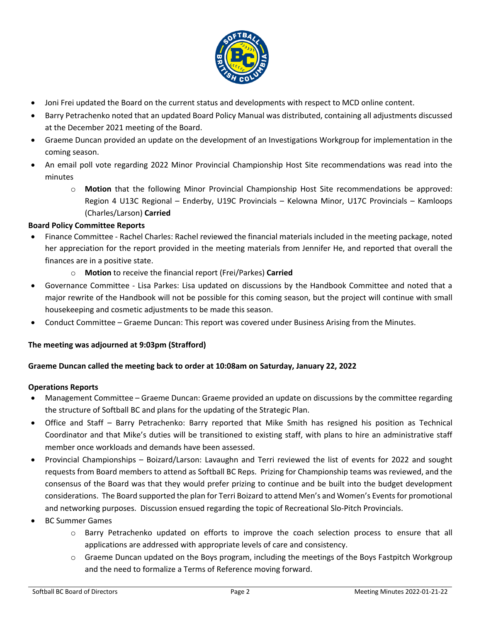

- Joni Frei updated the Board on the current status and developments with respect to MCD online content.
- Barry Petrachenko noted that an updated Board Policy Manual was distributed, containing all adjustments discussed at the December 2021 meeting of the Board.
- Graeme Duncan provided an update on the development of an Investigations Workgroup for implementation in the coming season.
- An email poll vote regarding 2022 Minor Provincial Championship Host Site recommendations was read into the minutes
	- o **Motion** that the following Minor Provincial Championship Host Site recommendations be approved: Region 4 U13C Regional – Enderby, U19C Provincials – Kelowna Minor, U17C Provincials – Kamloops (Charles/Larson) **Carried**

## **Board Policy Committee Reports**

- Finance Committee Rachel Charles: Rachel reviewed the financial materials included in the meeting package, noted her appreciation for the report provided in the meeting materials from Jennifer He, and reported that overall the finances are in a positive state.
	- o **Motion** to receive the financial report (Frei/Parkes) **Carried**
- Governance Committee Lisa Parkes: Lisa updated on discussions by the Handbook Committee and noted that a major rewrite of the Handbook will not be possible for this coming season, but the project will continue with small housekeeping and cosmetic adjustments to be made this season.
- Conduct Committee Graeme Duncan: This report was covered under Business Arising from the Minutes.

## **The meeting was adjourned at 9:03pm (Strafford)**

### **Graeme Duncan called the meeting back to order at 10:08am on Saturday, January 22, 2022**

### **Operations Reports**

- Management Committee Graeme Duncan: Graeme provided an update on discussions by the committee regarding the structure of Softball BC and plans for the updating of the Strategic Plan.
- Office and Staff Barry Petrachenko: Barry reported that Mike Smith has resigned his position as Technical Coordinator and that Mike's duties will be transitioned to existing staff, with plans to hire an administrative staff member once workloads and demands have been assessed.
- Provincial Championships Boizard/Larson: Lavaughn and Terri reviewed the list of events for 2022 and sought requests from Board members to attend as Softball BC Reps. Prizing for Championship teams was reviewed, and the consensus of the Board was that they would prefer prizing to continue and be built into the budget development considerations. The Board supported the plan for Terri Boizard to attend Men's and Women's Events for promotional and networking purposes. Discussion ensued regarding the topic of Recreational Slo-Pitch Provincials.
- BC Summer Games
	- o Barry Petrachenko updated on efforts to improve the coach selection process to ensure that all applications are addressed with appropriate levels of care and consistency.
	- o Graeme Duncan updated on the Boys program, including the meetings of the Boys Fastpitch Workgroup and the need to formalize a Terms of Reference moving forward.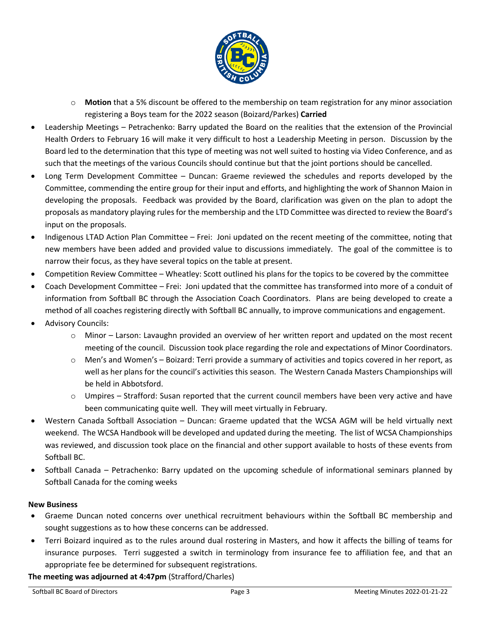

- o **Motion** that a 5% discount be offered to the membership on team registration for any minor association registering a Boys team for the 2022 season (Boizard/Parkes) **Carried**
- Leadership Meetings Petrachenko: Barry updated the Board on the realities that the extension of the Provincial Health Orders to February 16 will make it very difficult to host a Leadership Meeting in person. Discussion by the Board led to the determination that this type of meeting was not well suited to hosting via Video Conference, and as such that the meetings of the various Councils should continue but that the joint portions should be cancelled.
- Long Term Development Committee Duncan: Graeme reviewed the schedules and reports developed by the Committee, commending the entire group for their input and efforts, and highlighting the work of Shannon Maion in developing the proposals. Feedback was provided by the Board, clarification was given on the plan to adopt the proposals as mandatory playing rules for the membership and the LTD Committee was directed to review the Board's input on the proposals.
- Indigenous LTAD Action Plan Committee Frei: Joni updated on the recent meeting of the committee, noting that new members have been added and provided value to discussions immediately. The goal of the committee is to narrow their focus, as they have several topics on the table at present.
- Competition Review Committee Wheatley: Scott outlined his plans for the topics to be covered by the committee
- Coach Development Committee Frei: Joni updated that the committee has transformed into more of a conduit of information from Softball BC through the Association Coach Coordinators. Plans are being developed to create a method of all coaches registering directly with Softball BC annually, to improve communications and engagement.
- Advisory Councils:
	- $\circ$  Minor Larson: Lavaughn provided an overview of her written report and updated on the most recent meeting of the council. Discussion took place regarding the role and expectations of Minor Coordinators.
	- o Men's and Women's Boizard: Terri provide a summary of activities and topics covered in her report, as well as her plans for the council's activities this season. The Western Canada Masters Championships will be held in Abbotsford.
	- $\circ$  Umpires Strafford: Susan reported that the current council members have been very active and have been communicating quite well. They will meet virtually in February.
- Western Canada Softball Association Duncan: Graeme updated that the WCSA AGM will be held virtually next weekend. The WCSA Handbook will be developed and updated during the meeting. The list of WCSA Championships was reviewed, and discussion took place on the financial and other support available to hosts of these events from Softball BC.
- Softball Canada Petrachenko: Barry updated on the upcoming schedule of informational seminars planned by Softball Canada for the coming weeks

## **New Business**

- Graeme Duncan noted concerns over unethical recruitment behaviours within the Softball BC membership and sought suggestions as to how these concerns can be addressed.
- Terri Boizard inquired as to the rules around dual rostering in Masters, and how it affects the billing of teams for insurance purposes. Terri suggested a switch in terminology from insurance fee to affiliation fee, and that an appropriate fee be determined for subsequent registrations.

**The meeting was adjourned at 4:47pm** (Strafford/Charles)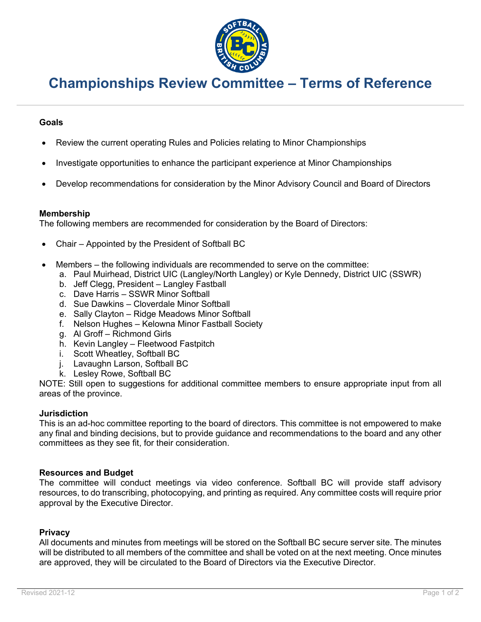

# **Championships Review Committee – Terms of Reference**

## **Goals**

- Review the current operating Rules and Policies relating to Minor Championships
- Investigate opportunities to enhance the participant experience at Minor Championships
- Develop recommendations for consideration by the Minor Advisory Council and Board of Directors

## **Membership**

The following members are recommended for consideration by the Board of Directors:

- Chair Appointed by the President of Softball BC
- Members the following individuals are recommended to serve on the committee:
	- a. Paul Muirhead, District UIC (Langley/North Langley) or Kyle Dennedy, District UIC (SSWR)
	- b. Jeff Clegg, President Langley Fastball
	- c. Dave Harris SSWR Minor Softball
	- d. Sue Dawkins Cloverdale Minor Softball
	- e. Sally Clayton Ridge Meadows Minor Softball
	- f. Nelson Hughes Kelowna Minor Fastball Society
	- g. Al Groff Richmond Girls
	- h. Kevin Langley Fleetwood Fastpitch
	- i. Scott Wheatley, Softball BC
	- j. Lavaughn Larson, Softball BC
	- k. Lesley Rowe, Softball BC

NOTE: Still open to suggestions for additional committee members to ensure appropriate input from all areas of the province.

### **Jurisdiction**

This is an ad-hoc committee reporting to the board of directors. This committee is not empowered to make any final and binding decisions, but to provide guidance and recommendations to the board and any other committees as they see fit, for their consideration.

## **Resources and Budget**

The committee will conduct meetings via video conference. Softball BC will provide staff advisory resources, to do transcribing, photocopying, and printing as required. Any committee costs will require prior approval by the Executive Director.

### **Privacy**

All documents and minutes from meetings will be stored on the Softball BC secure server site. The minutes will be distributed to all members of the committee and shall be voted on at the next meeting. Once minutes are approved, they will be circulated to the Board of Directors via the Executive Director.